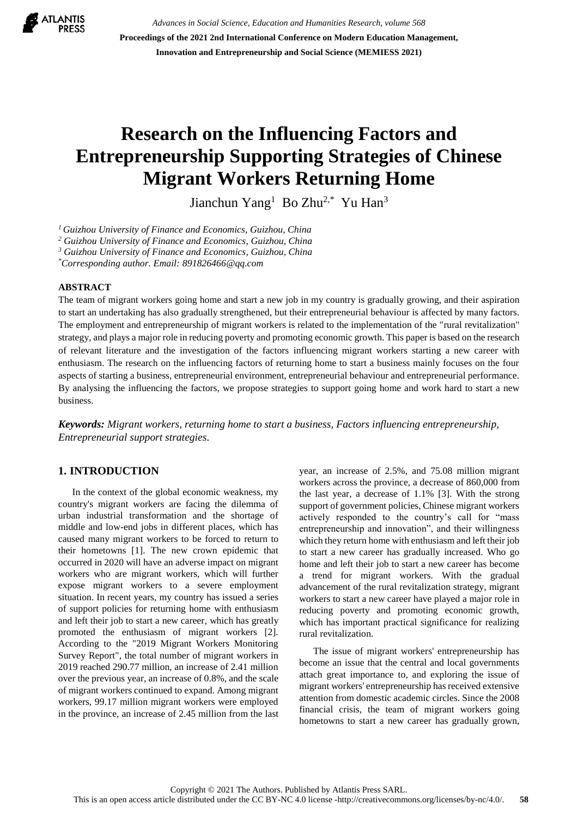

*Advances in Social Science, Education and Humanities Research, volume 568* **Proceedings of the 2021 2nd International Conference on Modern Education Management, Innovation and Entrepreneurship and Social Science (MEMIESS 2021)**

# **Research on the Influencing Factors and Entrepreneurship Supporting Strategies of Chinese Migrant Workers Returning Home**

Jianchun Yang<sup>1</sup> Bo Zhu<sup>2,\*</sup> Yu Han<sup>3</sup>

*<sup>1</sup>Guizhou University of Finance and Economics, Guizhou, China*

*<sup>2</sup> Guizhou University of Finance and Economics, Guizhou, China*

*<sup>3</sup> Guizhou University of Finance and Economics, Guizhou, China*

*\*Corresponding author. Email: 891826466@qq.com*

#### **ABSTRACT**

The team of migrant workers going home and start a new job in my country is gradually growing, and their aspiration to start an undertaking has also gradually strengthened, but their entrepreneurial behaviour is affected by many factors. The employment and entrepreneurship of migrant workers is related to the implementation of the "rural revitalization" strategy, and plays a major role in reducing poverty and promoting economic growth. This paper is based on the research of relevant literature and the investigation of the factors influencing migrant workers starting a new career with enthusiasm. The research on the influencing factors of returning home to start a business mainly focuses on the four aspects of starting a business, entrepreneurial environment, entrepreneurial behaviour and entrepreneurial performance. By analysing the influencing the factors, we propose strategies to support going home and work hard to start a new business.

*Keywords: Migrant workers, returning home to start a business, Factors influencing entrepreneurship, Entrepreneurial support strategies.*

# **1. INTRODUCTION**

In the context of the global economic weakness, my country's migrant workers are facing the dilemma of urban industrial transformation and the shortage of middle and low-end jobs in different places, which has caused many migrant workers to be forced to return to their hometowns [1]. The new crown epidemic that occurred in 2020 will have an adverse impact on migrant workers who are migrant workers, which will further expose migrant workers to a severe employment situation. In recent years, my country has issued a series of support policies for returning home with enthusiasm and left their job to start a new career, which has greatly promoted the enthusiasm of migrant workers [2]. According to the "2019 Migrant Workers Monitoring Survey Report", the total number of migrant workers in 2019 reached 290.77 million, an increase of 2.41 million over the previous year, an increase of 0.8%, and the scale of migrant workers continued to expand. Among migrant workers, 99.17 million migrant workers were employed in the province, an increase of 2.45 million from the last year, an increase of 2.5%, and 75.08 million migrant workers across the province, a decrease of 860,000 from the last year, a decrease of 1.1% [3]. With the strong support of government policies, Chinese migrant workers actively responded to the country's call for "mass entrepreneurship and innovation", and their willingness which they return home with enthusiasm and left their job to start a new career has gradually increased. Who go home and left their job to start a new career has become a trend for migrant workers. With the gradual advancement of the rural revitalization strategy, migrant workers to start a new career have played a major role in reducing poverty and promoting economic growth, which has important practical significance for realizing rural revitalization.

The issue of migrant workers' entrepreneurship has become an issue that the central and local governments attach great importance to, and exploring the issue of migrant workers' entrepreneurship has received extensive attention from domestic academic circles. Since the 2008 financial crisis, the team of migrant workers going hometowns to start a new career has gradually grown,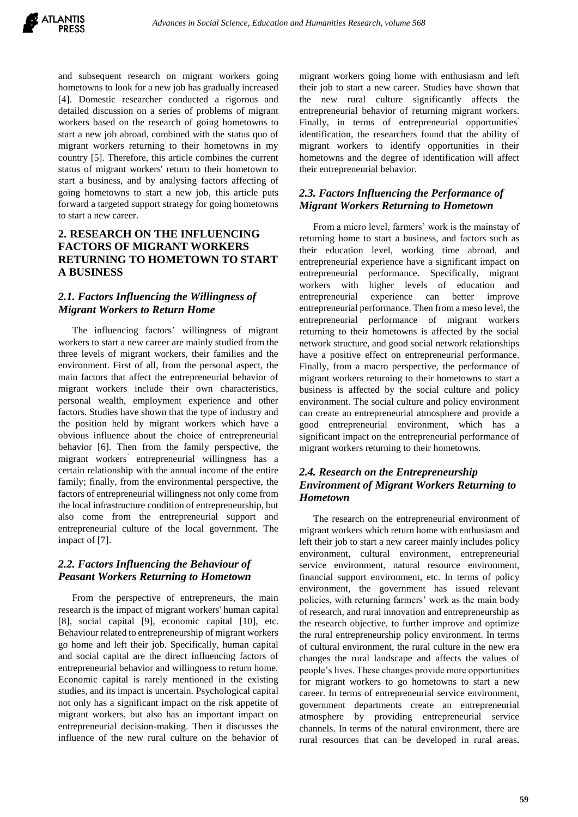

and subsequent research on migrant workers going hometowns to look for a new job has gradually increased [4]. Domestic researcher conducted a rigorous and detailed discussion on a series of problems of migrant workers based on the research of going hometowns to start a new job abroad, combined with the status quo of migrant workers returning to their hometowns in my country [5]. Therefore, this article combines the current status of migrant workers' return to their hometown to start a business, and by analysing factors affecting of going hometowns to start a new job, this article puts forward a targeted support strategy for going hometowns to start a new career.

## **2. RESEARCH ON THE INFLUENCING FACTORS OF MIGRANT WORKERS RETURNING TO HOMETOWN TO START A BUSINESS**

# *2.1. Factors Influencing the Willingness of Migrant Workers to Return Home*

The influencing factors' willingness of migrant workers to start a new career are mainly studied from the three levels of migrant workers, their families and the environment. First of all, from the personal aspect, the main factors that affect the entrepreneurial behavior of migrant workers include their own characteristics, personal wealth, employment experience and other factors. Studies have shown that the type of industry and the position held by migrant workers which have a obvious influence about the choice of entrepreneurial behavior [6]. Then from the family perspective, the migrant workers' entrepreneurial willingness has a certain relationship with the annual income of the entire family; finally, from the environmental perspective, the factors of entrepreneurial willingness not only come from the local infrastructure condition of entrepreneurship, but also come from the entrepreneurial support and entrepreneurial culture of the local government. The impact of [7].

## *2.2. Factors Influencing the Behaviour of Peasant Workers Returning to Hometown*

From the perspective of entrepreneurs, the main research is the impact of migrant workers' human capital [8], social capital [9], economic capital [10], etc. Behaviour related to entrepreneurship of migrant workers go home and left their job. Specifically, human capital and social capital are the direct influencing factors of entrepreneurial behavior and willingness to return home. Economic capital is rarely mentioned in the existing studies, and its impact is uncertain. Psychological capital not only has a significant impact on the risk appetite of migrant workers, but also has an important impact on entrepreneurial decision-making. Then it discusses the influence of the new rural culture on the behavior of migrant workers going home with enthusiasm and left their job to start a new career. Studies have shown that the new rural culture significantly affects the entrepreneurial behavior of returning migrant workers. Finally, in terms of entrepreneurial opportunities' identification, the researchers found that the ability of migrant workers to identify opportunities in their hometowns and the degree of identification will affect their entrepreneurial behavior.

## *2.3. Factors Influencing the Performance of Migrant Workers Returning to Hometown*

From a micro level, farmers' work is the mainstay of returning home to start a business, and factors such as their education level, working time abroad, and entrepreneurial experience have a significant impact on entrepreneurial performance. Specifically, migrant workers with higher levels of education and entrepreneurial experience can better improve entrepreneurial performance. Then from a meso level, the entrepreneurial performance of migrant workers returning to their hometowns is affected by the social network structure, and good social network relationships have a positive effect on entrepreneurial performance. Finally, from a macro perspective, the performance of migrant workers returning to their hometowns to start a business is affected by the social culture and policy environment. The social culture and policy environment can create an entrepreneurial atmosphere and provide a good entrepreneurial environment, which has a significant impact on the entrepreneurial performance of migrant workers returning to their hometowns.

# *2.4. Research on the Entrepreneurship Environment of Migrant Workers Returning to Hometown*

The research on the entrepreneurial environment of migrant workers which return home with enthusiasm and left their job to start a new career mainly includes policy environment, cultural environment, entrepreneurial service environment, natural resource environment, financial support environment, etc. In terms of policy environment, the government has issued relevant policies, with returning farmers' work as the main body of research, and rural innovation and entrepreneurship as the research objective, to further improve and optimize the rural entrepreneurship policy environment. In terms of cultural environment, the rural culture in the new era changes the rural landscape and affects the values of people's lives. These changes provide more opportunities for migrant workers to go hometowns to start a new career. In terms of entrepreneurial service environment, government departments create an entrepreneurial atmosphere by providing entrepreneurial service channels. In terms of the natural environment, there are rural resources that can be developed in rural areas.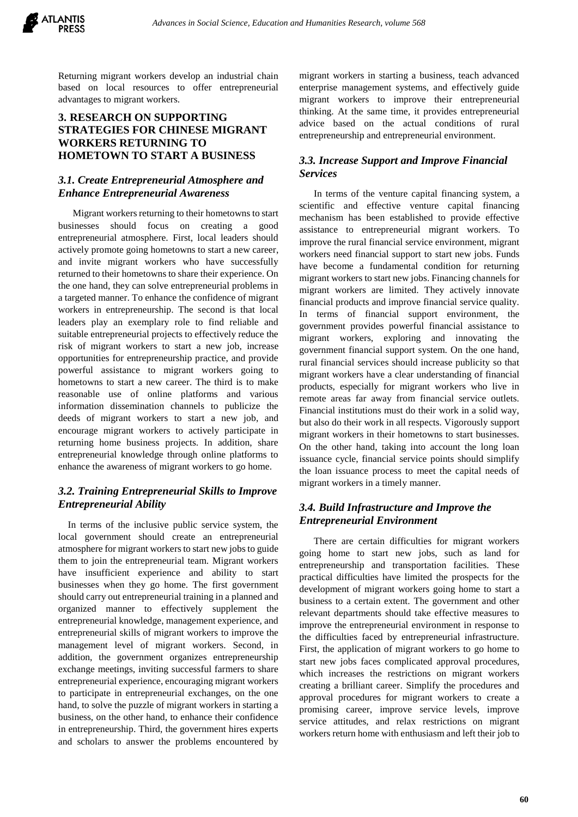

Returning migrant workers develop an industrial chain based on local resources to offer entrepreneurial advantages to migrant workers.

#### **3. RESEARCH ON SUPPORTING STRATEGIES FOR CHINESE MIGRANT WORKERS RETURNING TO HOMETOWN TO START A BUSINESS**

#### *3.1. Create Entrepreneurial Atmosphere and Enhance Entrepreneurial Awareness*

Migrant workers returning to their hometowns to start businesses should focus on creating a good entrepreneurial atmosphere. First, local leaders should actively promote going hometowns to start a new career, and invite migrant workers who have successfully returned to their hometowns to share their experience. On the one hand, they can solve entrepreneurial problems in a targeted manner. To enhance the confidence of migrant workers in entrepreneurship. The second is that local leaders play an exemplary role to find reliable and suitable entrepreneurial projects to effectively reduce the risk of migrant workers to start a new job, increase opportunities for entrepreneurship practice, and provide powerful assistance to migrant workers going to hometowns to start a new career. The third is to make reasonable use of online platforms and various information dissemination channels to publicize the deeds of migrant workers to start a new job, and encourage migrant workers to actively participate in returning home business projects. In addition, share entrepreneurial knowledge through online platforms to enhance the awareness of migrant workers to go home.

# *3.2. Training Entrepreneurial Skills to Improve Entrepreneurial Ability*

In terms of the inclusive public service system, the local government should create an entrepreneurial atmosphere for migrant workers to start new jobsto guide them to join the entrepreneurial team. Migrant workers have insufficient experience and ability to start businesses when they go home. The first government should carry out entrepreneurial training in a planned and organized manner to effectively supplement the entrepreneurial knowledge, management experience, and entrepreneurial skills of migrant workers to improve the management level of migrant workers. Second, in addition, the government organizes entrepreneurship exchange meetings, inviting successful farmers to share entrepreneurial experience, encouraging migrant workers to participate in entrepreneurial exchanges, on the one hand, to solve the puzzle of migrant workers in starting a business, on the other hand, to enhance their confidence in entrepreneurship. Third, the government hires experts and scholars to answer the problems encountered by

migrant workers in starting a business, teach advanced enterprise management systems, and effectively guide migrant workers to improve their entrepreneurial thinking. At the same time, it provides entrepreneurial advice based on the actual conditions of rural entrepreneurship and entrepreneurial environment.

#### *3.3. Increase Support and Improve Financial Services*

In terms of the venture capital financing system, a scientific and effective venture capital financing mechanism has been established to provide effective assistance to entrepreneurial migrant workers. To improve the rural financial service environment, migrant workers need financial support to start new jobs. Funds have become a fundamental condition for returning migrant workers to start new jobs. Financing channels for migrant workers are limited. They actively innovate financial products and improve financial service quality. In terms of financial support environment, the government provides powerful financial assistance to migrant workers, exploring and innovating the government financial support system. On the one hand, rural financial services should increase publicity so that migrant workers have a clear understanding of financial products, especially for migrant workers who live in remote areas far away from financial service outlets. Financial institutions must do their work in a solid way, but also do their work in all respects. Vigorously support migrant workers in their hometowns to start businesses. On the other hand, taking into account the long loan issuance cycle, financial service points should simplify the loan issuance process to meet the capital needs of migrant workers in a timely manner.

#### *3.4. Build Infrastructure and Improve the Entrepreneurial Environment*

There are certain difficulties for migrant workers going home to start new jobs, such as land for entrepreneurship and transportation facilities. These practical difficulties have limited the prospects for the development of migrant workers going home to start a business to a certain extent. The government and other relevant departments should take effective measures to improve the entrepreneurial environment in response to the difficulties faced by entrepreneurial infrastructure. First, the application of migrant workers to go home to start new jobs faces complicated approval procedures, which increases the restrictions on migrant workers creating a brilliant career. Simplify the procedures and approval procedures for migrant workers to create a promising career, improve service levels, improve service attitudes, and relax restrictions on migrant workers return home with enthusiasm and left their job to